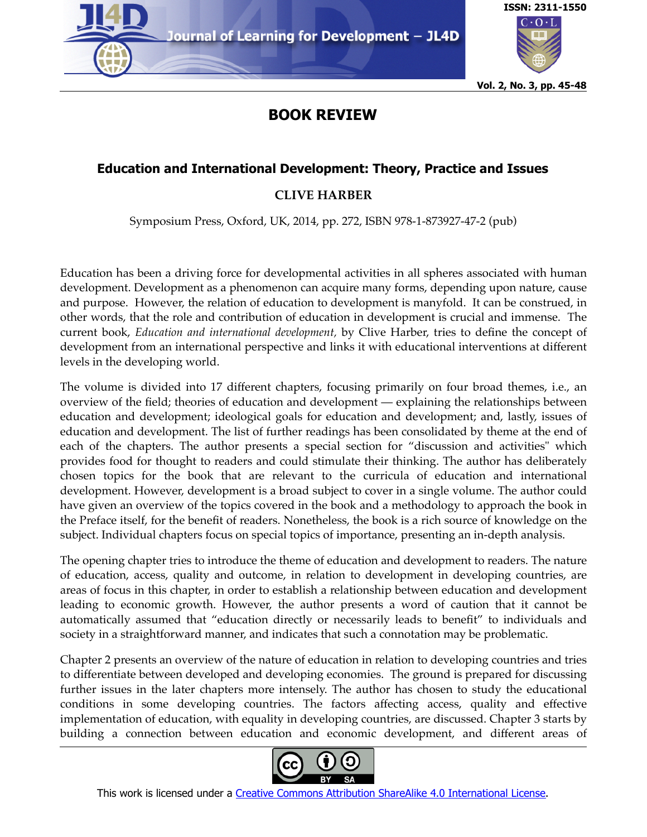



**Vol. 2, No. 3, pp. 45-48**

## **BOOK REVIEW**

## **Education and International Development: Theory, Practice and Issues**

## **CLIVE HARBER**

Symposium Press, Oxford, UK, 2014, pp. 272, ISBN 978-1-873927-47-2 (pub)

Education has been a driving force for developmental activities in all spheres associated with human development. Development as a phenomenon can acquire many forms, depending upon nature, cause and purpose. However, the relation of education to development is manyfold. It can be construed, in other words, that the role and contribution of education in development is crucial and immense. The current book, *Education and international development,* by Clive Harber, tries to define the concept of development from an international perspective and links it with educational interventions at different levels in the developing world.

The volume is divided into 17 different chapters, focusing primarily on four broad themes, i.e., an overview of the field; theories of education and development — explaining the relationships between education and development; ideological goals for education and development; and, lastly, issues of education and development. The list of further readings has been consolidated by theme at the end of each of the chapters. The author presents a special section for "discussion and activities" which provides food for thought to readers and could stimulate their thinking. The author has deliberately chosen topics for the book that are relevant to the curricula of education and international development. However, development is a broad subject to cover in a single volume. The author could have given an overview of the topics covered in the book and a methodology to approach the book in the Preface itself, for the benefit of readers. Nonetheless, the book is a rich source of knowledge on the subject. Individual chapters focus on special topics of importance, presenting an in-depth analysis.

The opening chapter tries to introduce the theme of education and development to readers. The nature of education, access, quality and outcome, in relation to development in developing countries, are areas of focus in this chapter, in order to establish a relationship between education and development leading to economic growth. However, the author presents a word of caution that it cannot be automatically assumed that "education directly or necessarily leads to benefit" to individuals and society in a straightforward manner, and indicates that such a connotation may be problematic.

Chapter 2 presents an overview of the nature of education in relation to developing countries and tries to differentiate between developed and developing economies. The ground is prepared for discussing further issues in the later chapters more intensely. The author has chosen to study the educational conditions in some developing countries. The factors affecting access, quality and effective implementation of education, with equality in developing countries, are discussed. Chapter 3 starts by building a connection between education and economic development, and different areas of

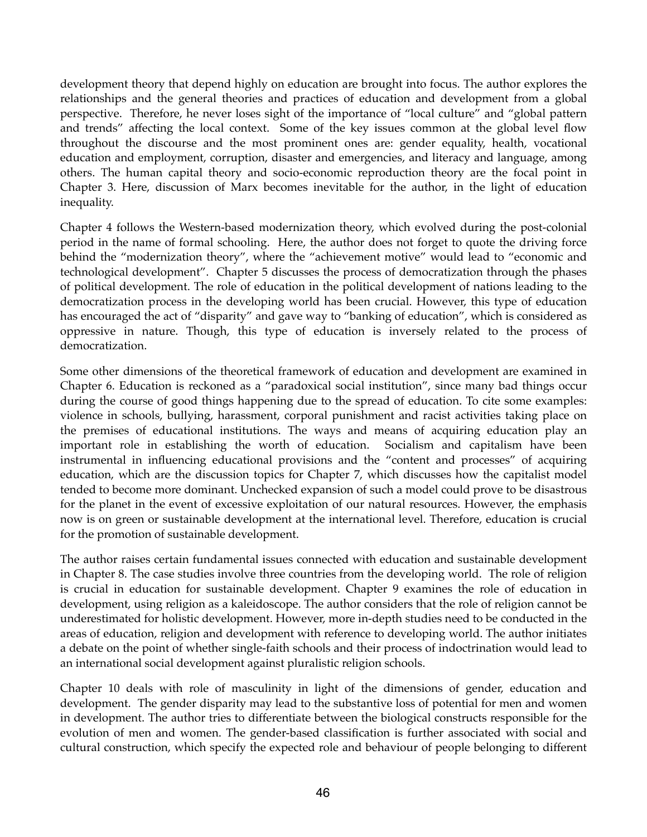development theory that depend highly on education are brought into focus. The author explores the relationships and the general theories and practices of education and development from a global perspective. Therefore, he never loses sight of the importance of "local culture" and "global pattern and trends" affecting the local context. Some of the key issues common at the global level flow throughout the discourse and the most prominent ones are: gender equality, health, vocational education and employment, corruption, disaster and emergencies, and literacy and language, among others. The human capital theory and socio-economic reproduction theory are the focal point in Chapter 3. Here, discussion of Marx becomes inevitable for the author, in the light of education inequality.

Chapter 4 follows the Western-based modernization theory, which evolved during the post-colonial period in the name of formal schooling. Here, the author does not forget to quote the driving force behind the "modernization theory", where the "achievement motive" would lead to "economic and technological development". Chapter 5 discusses the process of democratization through the phases of political development. The role of education in the political development of nations leading to the democratization process in the developing world has been crucial. However, this type of education has encouraged the act of "disparity" and gave way to "banking of education", which is considered as oppressive in nature. Though, this type of education is inversely related to the process of democratization.

Some other dimensions of the theoretical framework of education and development are examined in Chapter 6. Education is reckoned as a "paradoxical social institution", since many bad things occur during the course of good things happening due to the spread of education. To cite some examples: violence in schools, bullying, harassment, corporal punishment and racist activities taking place on the premises of educational institutions. The ways and means of acquiring education play an important role in establishing the worth of education. Socialism and capitalism have been instrumental in influencing educational provisions and the "content and processes" of acquiring education, which are the discussion topics for Chapter 7, which discusses how the capitalist model tended to become more dominant. Unchecked expansion of such a model could prove to be disastrous for the planet in the event of excessive exploitation of our natural resources. However, the emphasis now is on green or sustainable development at the international level. Therefore, education is crucial for the promotion of sustainable development.

The author raises certain fundamental issues connected with education and sustainable development in Chapter 8. The case studies involve three countries from the developing world. The role of religion is crucial in education for sustainable development. Chapter 9 examines the role of education in development, using religion as a kaleidoscope. The author considers that the role of religion cannot be underestimated for holistic development. However, more in-depth studies need to be conducted in the areas of education, religion and development with reference to developing world. The author initiates a debate on the point of whether single-faith schools and their process of indoctrination would lead to an international social development against pluralistic religion schools.

Chapter 10 deals with role of masculinity in light of the dimensions of gender, education and development. The gender disparity may lead to the substantive loss of potential for men and women in development. The author tries to differentiate between the biological constructs responsible for the evolution of men and women. The gender-based classification is further associated with social and cultural construction, which specify the expected role and behaviour of people belonging to different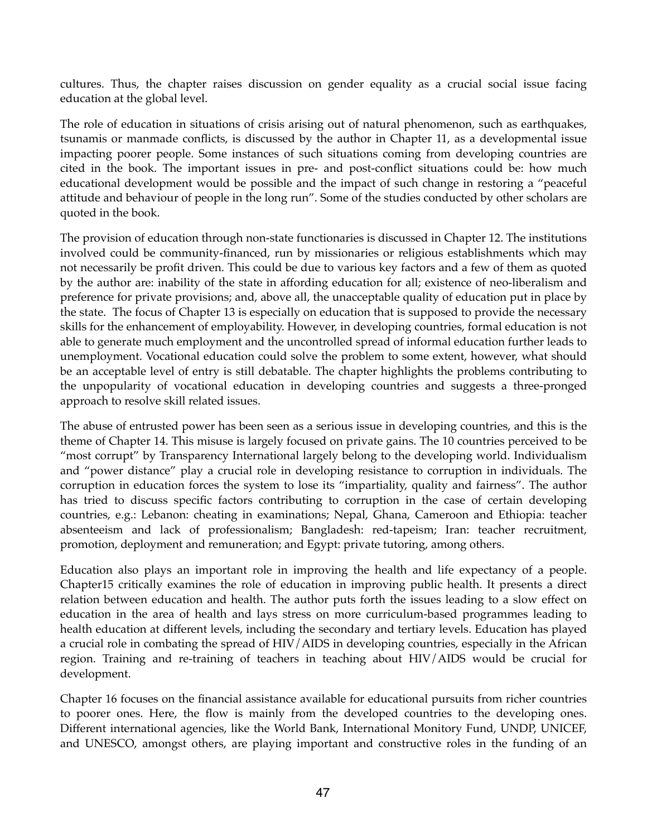cultures. Thus, the chapter raises discussion on gender equality as a crucial social issue facing education at the global level.

The role of education in situations of crisis arising out of natural phenomenon, such as earthquakes, tsunamis or manmade conflicts, is discussed by the author in Chapter 11, as a developmental issue impacting poorer people. Some instances of such situations coming from developing countries are cited in the book. The important issues in pre- and post-conflict situations could be: how much educational development would be possible and the impact of such change in restoring a "peaceful attitude and behaviour of people in the long run". Some of the studies conducted by other scholars are quoted in the book.

The provision of education through non-state functionaries is discussed in Chapter 12. The institutions involved could be community-financed, run by missionaries or religious establishments which may not necessarily be profit driven. This could be due to various key factors and a few of them as quoted by the author are: inability of the state in affording education for all; existence of neo-liberalism and preference for private provisions; and, above all, the unacceptable quality of education put in place by the state. The focus of Chapter 13 is especially on education that is supposed to provide the necessary skills for the enhancement of employability. However, in developing countries, formal education is not able to generate much employment and the uncontrolled spread of informal education further leads to unemployment. Vocational education could solve the problem to some extent, however, what should be an acceptable level of entry is still debatable. The chapter highlights the problems contributing to the unpopularity of vocational education in developing countries and suggests a three-pronged approach to resolve skill related issues.

The abuse of entrusted power has been seen as a serious issue in developing countries, and this is the theme of Chapter 14. This misuse is largely focused on private gains. The 10 countries perceived to be "most corrupt" by Transparency International largely belong to the developing world. Individualism and "power distance" play a crucial role in developing resistance to corruption in individuals. The corruption in education forces the system to lose its "impartiality, quality and fairness". The author has tried to discuss specific factors contributing to corruption in the case of certain developing countries, e.g.: Lebanon: cheating in examinations; Nepal, Ghana, Cameroon and Ethiopia: teacher absenteeism and lack of professionalism; Bangladesh: red-tapeism; Iran: teacher recruitment, promotion, deployment and remuneration; and Egypt: private tutoring, among others.

Education also plays an important role in improving the health and life expectancy of a people. Chapter15 critically examines the role of education in improving public health. It presents a direct relation between education and health. The author puts forth the issues leading to a slow effect on education in the area of health and lays stress on more curriculum-based programmes leading to health education at different levels, including the secondary and tertiary levels. Education has played a crucial role in combating the spread of HIV/AIDS in developing countries, especially in the African region. Training and re-training of teachers in teaching about HIV/AIDS would be crucial for development.

Chapter 16 focuses on the financial assistance available for educational pursuits from richer countries to poorer ones. Here, the flow is mainly from the developed countries to the developing ones. Different international agencies, like the World Bank, International Monitory Fund, UNDP, UNICEF, and UNESCO, amongst others, are playing important and constructive roles in the funding of an